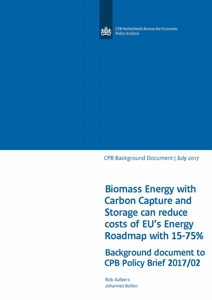

CPB Netherlands Bureau for Economic **Policy Analysis** 

CPB Background Document I July 2017

**Biomass Energy with Carbon Capture and Storage can reduce costs of EU's Energy Roadmap with 15-75%**

**Background document to CPB Policy Brief 2017/02**

Rob Aalbers Johannes Bollen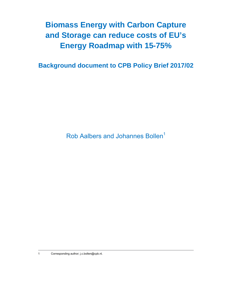## **Biomass Energy with Carbon Capture and Storage can reduce costs of EU's Energy Roadmap with 15-75%**

**Background document to CPB Policy Brief 2017/02** 

Rob Aalbers and Johannes Bollen<sup>1</sup>

1 Corresponding author; j.c.bollen@cpb.nl.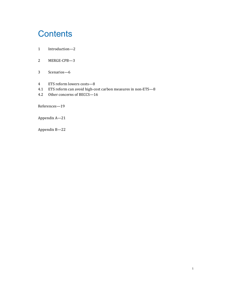# **Contents**

- 1 Introduction—2
- 2 MERGE‐CPB—3
- 3 Scenarios—6
- 4 ETS reform lowers costs-8
- 4.1 ETS reform can avoid high-cost carbon measures in non-ETS-8

1 

4.2 Other concerns of BECCS-16

References—19

Appendix A—21

Appendix B—22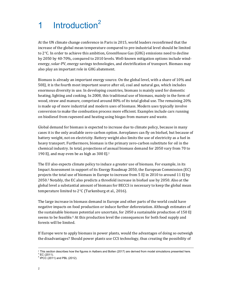# 1 Introduction<sup>2</sup>

At the UN climate change conference in Paris in 2015, world leaders reconfirmed that the increase of the global mean temperature compared to pre-industrial level should be limited to  $2^{\circ}$ C. In order to achieve this ambition, GreenHouse Gas (GHG) emissions need to decline by 2050 by 40-70%, compared to 2010 levels. Well-known mitigation options include windenergy, solar-PV, energy savings technologies, and electrification of transport. Biomass may also play an important role in GHG abatement.

Biomass is already an important energy source. On the global level, with a share of 10% and 50EJ, it is the fourth most important source after oil, coal and natural gas, which includes enormous diversity in use. In developing countries, biomass is mainly used for domestic heating, lighting and cooking. In 2008, this traditional use of biomass, mainly in the form of wood, straw and manure, comprised around  $80\%$  of its total global use. The remaining  $20\%$ is made up of more industrial and modern uses of biomass. Modern uses typically involve conversion to make the combustion process more efficient. Examples include cars running on biodiesel from rapeseed and heating using biogas from manure and waste.

Global demand for biomass is expected to increase due to climate policy, because in many cases it is the only available zero-carbon option. Aeroplanes can fly on biofuel, but because of battery weight, not on electricity. Battery weight also limits the use of electricity as a fuel in heavy transport. Furthermore, biomass is the primary zero-carbon substitute for oil in the chemical industry. In total, projections of annual biomass demand for 2050 vary from 70 to 190 EJ, and may even be as high as  $300$  EJ.<sup>1</sup>

The EU also expects climate policy to induce a greater use of biomass. For example, in its Impact Assessment in support of its Energy Roadmap 2050, the European Commission  $(EC)$ projects the total use of biomass in Europe to increase from  $5$  EJ in 2010 to around 11 EJ by 2050.3 Notably, the EC also predicts a threefold increase in biofuel use by 2050. Also at the global level a substantial amount of biomass for BECCS is necessary to keep the global mean temperature limited to  $2^{\circ}$ C (Turkenburg et al., 2016).

The large increase in biomass demand in Europe and other parts of the world could have negative impacts on food production or induce further deforestation. Although estimates of the sustainable biomass potential are uncertain, for 2050 a sustainable production of 150 EJ seems to be feasible.<sup>4</sup> At this production level the consequences for both food supply and forests will be limited.

If Europe were to apply biomass in power plants, would the advantages of doing so outweigh the disadvantages? Should power plants use CCS technology, thus creating the possibility of

<sup>&</sup>lt;sup>2</sup> This section describes how the figures in Aalbers and Bollen (2017) are derived from model simulations presented here.

 $3$  EC (2011). 4 IPCC (2011) and PBL (2012).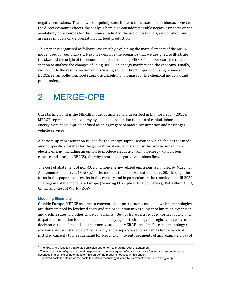negative emissions? The answers hopefully contribute to the discussion on biomass. Next to the direct economic effects, the analysis here also considers possible negative impacts on the availability of resources for the chemical industry, the use of fossil fuels, air pollution, and assesses impacts on deforestation and food production.

This paper is organized as follows. We start by explaining the main elements of the MERGEmodel used for our analysis. Next, we describe the scenarios that we designed to illustrate the size and the origin of the economic impacts of using BECCS. Then, we start the results section to analyze the changes of using BECCS on energy markets and the economy. Finally, we conclude the results section on discussing some indirect impacts of using biomass for BECCS, i.e. air pollution, food supply, availability of biomass for the chemical industry, and public safety.

## 2 MERGE-CPB

Our starting point is the MERGE model as applied and described in Blanford et al. (2015). MERGE represents the economy by a nested production function of capital, labor, and energy, with consumption defined as an aggregate of macro consumption and passenger vehicle services.

A bottom-up representation is used for the energy-supply sector, in which choices are made among specific activities for the generation of electricity and for the production of nonelectric energy, including an option to produce electricity from bioenergy with carbon capture and storage (BECCS), thereby creating a negative emissions flow.

The cost of abatement of non-CO2 and non-energy-related emissions is handled by Marginal Abatement Cost Curves (MACC).<sup>5,6</sup> The model's time horizon extends to 2200, although the focus in this paper is on results in this century and in particular on the transition up till 2050. The regions of the model are Europe (covering EU27 plus EFTA countries), USA, Other OECD, China, and Rest of World (ROW).

### **Modeling Electricity**

Outside Europe, MERGE assumes a conventional linear process model in which technologies are characterized by levelized costs and the production mix is subject to limits on expansion and decline rates and other share constraints.<sup>7</sup> But for Europe, a reduced-form capacity and dispatch formulation is used. Instead of specifying, for technology *i* in region  $r$  in year  $t$ , one decision variable for total electric energy supplied, MERGE specifies for each technology *i* one variable for installed electric capacity and a separate set of variables for dispatch of installed capacity to meet demand for electricity in twenty segments of approximately 5% of

 $<sup>5</sup>$  The MACC is a function that relates emission abatement to marginal cost of abatement.</sup>

 $6$  The accumulation of gases in the atmosphere and the subsequent effects on radiative forcing and temperature are described in a simple climate module. This part of the model is not used in this paper.

 $^7$  Levelized costs is defined as the costs to install a technology divided by its expected life-time energy output.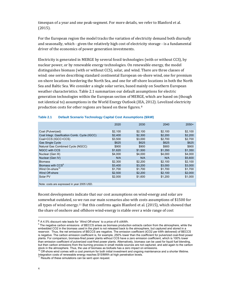timespan of a year and one peak-segment. For more details, we refer to Blanford et al. (2015). 

For the European region the model tracks the variation of electricity demand both diurnally and seasonally, which - given the relatively high cost of electricity storage - is a fundamental driver of the economics of power generation investments.

Electricity is generated in MERGE by several fossil technologies (with or without CCS), by nuclear power, or by renewable energy technologies. On renewable energy, the model distinguishes biomass (with or without CCS), solar, and wind. There are three classes of wind: one series describing standard continental European on-shore wind, one for premium on-shore locations bordering the North Sea, and one for off-shore locations in both the North Sea and Baltic Sea. We consider a single solar series, based mainly on Southern European weather characteristics. Table 2.1 summarizes our default assumptions for electric generation technologies within the European section of MERGE, which are based on (though not identical to) assumptions in the World Energy Outlook (IEA, 2012). Levelized electricity production costs for other regions are based on these figures.<sup>8</sup>

|                                              | 2020    | 2030    | 2040    | $2050+$ |
|----------------------------------------------|---------|---------|---------|---------|
| Coal (Pulverized)                            | \$2,100 | \$2,100 | \$2,100 | \$2,100 |
| Coal Integr. Gasification Comb. Cycle (IGCC) | \$2,400 | \$2,300 | \$2,200 | \$2,200 |
| Coal+CCS (IGCC+CCS)                          | \$3,500 | \$3,000 | \$2,700 | \$2,700 |
| <b>Gas Single Cycle</b>                      | \$625   | \$625   | \$625   | \$625   |
| Natural Gas Combined Cycle (NGCC)            | \$900   | \$900   | \$900   | \$900   |
| NGCC with CCS                                | \$1,620 | \$1,500 | \$1,350 | \$1,350 |
| Nuclear (Gen III)                            | \$4,000 | \$4,000 | \$4,000 | \$4,000 |
| Nuclear (Gen IV)                             | N/A     | N/A     | N/A     | \$5,600 |
| <b>Biomass</b>                               | \$2,300 | \$2,200 | \$2.100 | \$2,100 |
| Biomass with CCS <sup>9</sup>                | \$3.400 | \$3.200 | \$3,000 | \$3,000 |
| Wind On-shore <sup>10</sup>                  | \$1,700 | \$1,700 | \$1,700 | \$1,700 |
| Wind Off-shore                               | \$2,500 | \$2,200 | \$2,100 | \$2,000 |
| Solar PV                                     | \$2,000 | \$1,600 | \$1,200 | \$1,000 |
|                                              |         |         |         |         |

#### **Table 2.1 Default Scenario Technology Capital Cost Assumptions (\$/kW)**

Note: costs are expressed in year 2005 USD.

Recent developments indicate that our cost assumptions on wind-energy and solar are somewhat outdated, so we ran our main scenarios also with costs assumptions of \$1500 for all types of wind energy.<sup>11</sup> But this confirms again Blanford et al. (2015), which showed that the share of onshore and offshore wind-energy is stable over a wide range of cost

 $8$  A 4.5% discount rate leads for `Wind Off-shore` to a price of 6 ct/kWh.

<sup>&</sup>lt;sup>9</sup> The negative carbon emissions of BECCS arises as biomass production extracts carbon from the atmosphere, while the embedded CO2 in the biomass used in the plant is not released back to the atmosphere, but captured and stored in a reservoir. Thus, the net emissions of BECCS are negative. The emission coefficient (tCO2 per kWh delivered) of BECCS is negative. The carbon emission coefficient is, for example, 250% lower than the coefficient for pulverized coal-fired power plants. For comparison, biomass-fired power plants without CCS have a zero emission coefficient, which is 100% lower than emission coefficient of pulverized coal-fired power plants. Alternatively, biomass can be used for liquid fuel blending, but then carbon emissions from the burning process in small mobile sources are not captured, and add again to the carbon stock in the atmosphere. Thus, the use of biomass as biofuels has a zero impact on emissions.

 $10$  Off-shore wind comes with a cost premium for both initial investment and ongoing maintenance and a shorter lifetime. Integration costs of renewable energy reaches \$15/MWh at high penetration levels.

<sup>&</sup>lt;sup>11</sup> Results of these simulations can be sent upon request.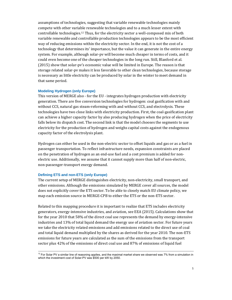assumptions of technologies, suggesting that variable renewable technologies mainly compete with other variable renewable technologies and to a much lesser extent with controllable technologies.<sup>12</sup> Thus, for the electricity sector a well-composed mix of both variable renewable and controllable production technologies appears to be the most efficient way of reducing emissions within the electricity sector. In the end, it is not the cost of a technology that determines its' importance, but the value it can generate in the entire energy system. For example, although solar-pv will become much cheaper in terms of costs, and it could even become one of the cheaper technologies in the long run. Still, Blanford et al. (2015) show that solar-pv's economic value will be limited in Europe. The reason is that storage related solar-pv makes it less favorable to other clean technologies, because storage is necessary as little electricity can be produced by solar in the winter to meet demand in that same period.

#### **Modeling Hydrogen (only Europe)**

This version of MERGE also - for the EU - integrates hydrogen production with electricity generation. There are five conversion technologies for hydrogen: coal gasification with and without CCS, natural gas steam-reforming with and without CCS, and electrolysis. These technologies have two close links with electricity production. First, the coal-gasification plant can achieve a higher capacity factor by also producing hydrogen when the price of electricity falls below its dispatch cost. The second link is that the model chooses the segments to use electricity for the production of hydrogen and weighs capital costs against the endogenous capacity factor of the electrolysis plant.

Hydrogen can either be used in the non-electric sector to offset liquids and gas or as a fuel in passenger transportation. To reflect infrastructure needs, expansion constraints are placed on the penetration of hydrogen as an end-use fuel and a cost premium is added for nonelectric use. Additionally, we assume that it cannot supply more than half of non-electric, non-passenger-transport energy demand.

### **Defining ETS and non-ETS (only Europe)**

The current setup of MERGE distinguishes electricity, non-electricity, small transport, and other emissions. Although the emissions simulated by MERGE cover all sources, the model does not explicitly cover the ETS sector. To be able to closely match EU climate policy, we map each emission source in MERGE-CPB to either the ETS or the non-ETS sector.

Related to this mapping procedure it is important to realize that ETS includes electricity generators, energy-intensive industries, and aviation, see EEA (2015). Calculations show that for the year 2010 that 58% of the direct coal use represents the demand by energy-intensive industries and 13% of total liquid demand the energy use of aviation sector. For future years we take the electricity related emissions and add emissions related to the direct use of coal and total liquid demand multiplied by the shares as derived for the year 2010. The non-ETS emissions for future years are calculated as the sum of the emissions from the transport sector plus 42% of the emissions of direct coal use and 87% of emissions of liquid fuel

 $12$  For Solar PV a similar line of reasoning applies, and the maximal market share we observed was 7% from a simulation in which the investment cost of Solar-PV was \$500 per kW by 2050.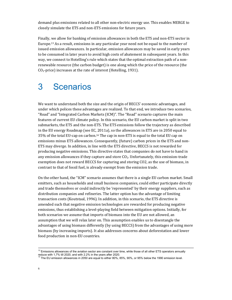demand plus emissions related to all other non-electric energy use. This enables MERGE to closely simulate the ETS and non-ETS emissions for future years.

Finally, we allow for banking of emission allowances in both the ETS and non-ETS sector in Europe.<sup>13</sup> As a result, emissions in any particular year need not be equal to the number of issued emission allowances. In particular, emission allowances may be saved in early years to be consumed in later years to avoid high costs of abatement in subsequent years. In this way, we connect to Hotelling's rule which states that the optimal extraction path of a nonrenewable resource (the carbon budget) is one along which the price of the resource (the  $CO<sub>2</sub>$ -price) increases at the rate of interest (Hotelling, 1931).

### 3 Scenarios

We want to understand both the size and the origin of BECCS' economic advantages, and under which polices these advantages are realized. To that end, we introduce two scenarios, "Road" and "Integrated Carbon Markets (ICM)". The "Road" scenario captures the main features of current EU climate policy. In this scenario, the EU carbon market is split in two submarkets, the ETS and the non-ETS. The ETS emissions follow the trajectory as described in the EU energy Roadmap (see EC, 2011a), so the allowances in ETS are in 2050 equal to 35% of the total EU-cap on carbon.<sup>14</sup> The cap in non-ETS is equal to the total EU cap on emissions minus ETS allowances. Consequently, (future) carbon prices in the ETS and non-ETS may diverge. In addition, in line with the ETS directive, BECCS is not rewarded for producing negative emissions. This directive states that companies do not have to hand in any emission allowances if they capture and store  $CO<sub>2</sub>$ . Unfortunately, this emission-trade exemption does not reward BECCS for capturing and storing CO2, as the use of biomass, in contrast to that of fossil fuel, is already exempt from the emission trade.

On the other hand, the "ICM" scenario assumes that there is a single EU carbon market. Small emitters, such as households and small business companies, could either participate directly and trade themselves or could indirectly be 'represented' by their energy suppliers, such as distribution companies and refineries. The latter option has the advantage of limiting transaction costs (Koutstaal, 1996). In addition, in this scenario, the ETS directive is amended such that negative emission technologies are rewarded for producing negative emissions, thus establishing a level-playing field between mitigation options. Initially, for both scenarios we assume that imports of biomass into the EU are not allowed, an assumption that we will relax later on. This assumption enables us to disentangle the advantages of using biomass differently (by using BECCS) from the advantages of using more biomass (by increasing imports). It also addresses concerns about deforestation and lower food production in non-EU countries.

 $13$  Emissions allowances of the aviation sector are constant over time, while those of all other ETS operators annually

reduce with 1,7% till 2020, and with 2.2% in the years after 2020.<br><sup>14</sup> The EU emission allowances in 2050 are equal to either 80%, 85%, 90%, or 95% below the 1990 emission level.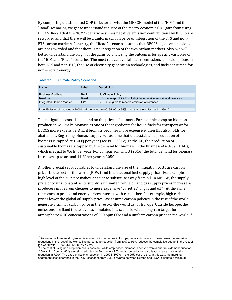By comparing the simulated GDP trajectories with the MERGE-model of the "ICM" and the "Road" scenarios, we get to understand the size of the macro-economic GDP gain from using BECCS. Recall that the "ICM" scenario assumes negative emission contributions by BECCS are rewarded and that there will be a uniform carbon price or integration of the ETS and non-ETS carbon markets. Contrary, the "Road" scenario assumes that BECCS negative emissions are not rewarded and that there is no integration of the two carbon markets. Also, we will better understand the origin of the gains by analyzing the outcomes for specific variables of the "ICM and "Road" scenarios. The most relevant variables are emissions, emission prices in both ETS and non-ETS, the use of electricity generation technologies, and fuels consumed for non-electric energy.

| Name                     | Label      | Description                                                   |
|--------------------------|------------|---------------------------------------------------------------|
| Business-As-Usual        | <b>BAU</b> | No Climate Policy                                             |
| Roadmap                  | Road       | EU Roadmap; BECCS not eligible to receive emission allowances |
| Integrated Carbon Market | <b>ICM</b> | BECCS eligible to receive emission allowances                 |
|                          |            |                                                               |

#### **Table 3.1 Climate Policy Scenarios**

Note: Emission allowances in 2050 in all scenarios are 80, 85, 90, or 95% lower than the emissions in 1990.<sup>15</sup>

The mitigation costs also depend on the prices of biomass. For example, a cap on biomass production will make biomass as one of the ingredients for liquid fuels for transport or for BECCS more expensive. And if biomass becomes more expensive, then this also holds for abatement. Regarding biomass supply, we assume that the sustainable production of biomass is capped at 150 EJ per year (see PBL, 2012). In the EU, the production of sustainable biomass is capped by the demand for biomass in the Business-As-Usual (BAU), which is equal to 9.6 EJ per year. For comparison, in EU (2016) the total demand for biomass increases up to around 11 EI per year in 2050.

Another crucial set of variables to understand the size of the mitigation costs are carbon prices in the rest-of-the-world (ROW) and international fuel supply prices. For example, a high level of the oil price makes it easier to substitute away from oil. In MERGE, the supply price of coal is constant as its supply is unlimited, while oil and gas supply prices increase as producers move from cheaper to more expensive "varieties" of gas and oil.<sup>16</sup> At the same time, carbon prices and energy prices interact with each other. For example, high carbon prices lower the global oil supply price. We assume carbon policies in the rest of the world generate a similar carbon price in the rest-of-the world as for Europe. Outside Europe, the emissions are fixed to the level as simulated in a scenario with a long-run target for atmospheric GHG concentrations of 550 ppm CO2 and a uniform carbon price in the world.<sup>17</sup>

<sup>&</sup>lt;sup>15</sup> As we move to more stringent emission reduction schemes in Europe, we also increase in those cases the emission reductions in the rest of the world. The percentage reduction from 80% to 95% reduces the cumulative budget in the rest of the world with 1-(100-95)/(100-80)% = 75%.<br><sup>16</sup> The cost of using non-crop biomass is constant, while crop-based-biomass is derived from a quadratic demand function.

<sup>&</sup>lt;sup>17</sup> Switching from an 80% emission reduction in Europe to a 95% emission reduction also leads to an extra emission reduction in ROW. The extra emissions reduction in 2050 in ROW in the 95% case is 5%. In this way, the marginal abatement cost difference in the "ICM" scenarios from 2050 onwards between Europe and ROW is kept to a minimum.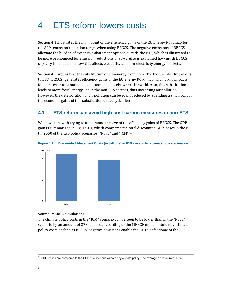# 4 ETS reform lowers costs

Section 4.1 illustrates the main point of the efficiency gains of the EU Energy Roadmap for the 80% emission reduction target when using BECCS. The negative emissions of BECCS alleviate the burden of expensive abatement options outside the ETS, which is illustrated to be more pronounced for emission reductions of 95%. Also is explained how much BECCS capacity is needed and how this affects electricity and non-electricity energy markets.

Section 4.2 argues that the substitution of bio-energy from non-ETS (biofuel blending of oil) to ETS (BECCS) generates efficiency gains of the EU energy Road map, and hardly impacts food prices or unsustainable land-use changes elsewhere in world. Also, this substitution leads to more fossil energy use in the non-ETS sectors, thus increasing air pollution. However, the deterioration of air pollution can be easily reduced by spending a small part of the economic gains of this substitution to catalytic filters.

### **4.1 ETS reform can avoid high-cost carbon measures in non-ETS**

We now start with trying to understand the size of the efficiency gains of BECCS. The GDP gain is summarized in Figure 4.1, which compares the total discounted GDP losses in the EU till 2050 of the two policy scenarios: "Road" and "ICM".<sup>18</sup>



#### **Figure 4.1 Discounted Abatement Costs (in trillions) in 80% case in two climate policy scenarios**

Source: MERGE simulations.

The climate policy costs in the "ICM" scenario can be seen to be lower than in the "Road" scenario by an amount of 273 bn euros according to the MERGE model. Intuitively, climate policy costs decline as BECCS' negative emissions enable the EU to defer some of the

 $18$  GDP losses are compared to the GDP of a scenario without any climate policy. The average discount rate is  $3\%$ .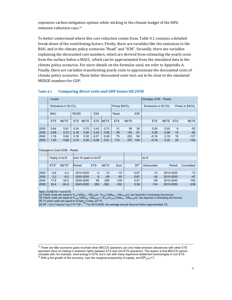expensive carbon mitigation options while sticking to the climate budget of the 80% emission reduction case.<sup>19</sup>

To better understand where this cost reduction comes from, Table 4.1 contains a detailed break-down of the contributing factors. Firstly, there are variables like the emissions in the BAU, and in the climate policy scenarios "Road" and "ICM". Secondly, there are variables explaining the discounted cost numbers, which are derived from estimating the yearly costs from the surface below a MACC, which can be approximated from the simulated data in the climate policy scenarios. For more details on the formulas used, we refer to Appendix A. Finally, there are variables transforming yearly costs to approximate the discounted costs of climate policy scenarios. These latter discounted costs turn out to be close to the simulated MERGE numbers for GDP.

| Table 4.1 | <b>Comparing direct costs and GDP losses till 2050</b> |  |  |  |  |  |  |
|-----------|--------------------------------------------------------|--|--|--|--|--|--|
|-----------|--------------------------------------------------------|--|--|--|--|--|--|

|      | Levels                          |                   |             |             |            |             |            |                                                                          |            | Changes (ICM - Road) |             |            |             |
|------|---------------------------------|-------------------|-------------|-------------|------------|-------------|------------|--------------------------------------------------------------------------|------------|----------------------|-------------|------------|-------------|
|      | Emissions in Gt CO <sub>2</sub> |                   |             |             |            |             |            | Prices $$/tCO2$<br>Emissions in Gt CO <sub>2</sub><br>Prices in $$/tCO2$ |            |                      |             |            |             |
|      |                                 |                   |             |             |            |             |            |                                                                          |            |                      |             |            |             |
|      | <b>BAU</b>                      |                   | <b>ROAD</b> |             | <b>ICM</b> |             | Road       |                                                                          | <b>ICM</b> |                      |             |            |             |
|      |                                 |                   |             |             |            |             |            |                                                                          |            |                      |             |            |             |
|      | <b>ETS</b>                      | NETS <sup>1</sup> | <b>ETS</b>  | <b>NETS</b> | <b>ETS</b> | <b>NETS</b> | <b>ETS</b> | <b>NETS</b>                                                              |            | <b>ETS</b>           | <b>NETS</b> | <b>ETS</b> | <b>NETS</b> |
|      |                                 |                   |             |             |            |             |            |                                                                          |            |                      |             |            |             |
| 2020 | 0,64                            | 0,81              | 0.34        | 0,70        | 0.43       | 0,73        | 31         | 90                                                                       | 38         | 0.09                 | 0,03        | 8          | $-52$       |
| 2030 | 0,95                            | 0,70              | 0.16        | 0,50        | 0,25       | 0,58        | 48         | 143                                                                      | 61         | 0.09                 | 0,08        | 12         | $-82$       |
| 2040 | 1,18                            | 0,64              | 0.16        | 0,30        | $-0,01$    | 0,49        | 75         | 222                                                                      | 94         | $-0,16$              | 0.19        | 19         | $-127$      |
| 2050 | 1,53                            | 0,68              | 0,10        | 0,20        | $-0.06$    | 0,51        | 114        | 337                                                                      | 144        | $-0,16$              | 0,32        | 29         | $-194$      |

| Changes in Cost (ICM - Road) |  |  |  |
|------------------------------|--|--|--|
|------------------------------|--|--|--|

|      |                  | over 10 years in bn $\epsilon^4$<br>Yearly in bn $\epsilon$ |           |            |             |        | bn $\epsilon$   |            |           |           |
|------|------------------|-------------------------------------------------------------|-----------|------------|-------------|--------|-----------------|------------|-----------|-----------|
|      |                  |                                                             |           |            |             |        |                 |            |           |           |
|      | ETS <sup>2</sup> | NETS <sup>3</sup>                                           | Period    | <b>ETS</b> | <b>NETS</b> | Sum    | DF <sup>5</sup> | Discounted | Period    | Cumulated |
|      |                  |                                                             |           |            |             |        |                 |            |           |           |
| 2020 | $-0.6$           | $-2.4$                                                      | 2010-2020 | $-3$       | $-12$       | $-15$  | 0,87            | $-13$      | 2010-2020 | $-13$     |
| 2030 | 2,2              | $-9,2$                                                      | 2020-2030 | 8          | $-58$       | $-50$  | 0,67            | $-34$      | 2010-2030 | $-47$     |
| 2040 | 17,6             | $-32.5$                                                     | 2030-2040 | 99         | $-209$      | $-109$ | 0,51            | $-58$      | 2010-2040 | $-105$    |
| 2050 | 32.4             | $-84.0$                                                     | 2040-2050 | 250        | $-582$      | $-332$ | 0,39            | $-134$     | 2010-2050 | $-239$    |
|      |                  |                                                             |           |            |             |        |                 |            |           |           |

Note: [1] NETS = non-ETS

[2] Yearly costs are equal to P<sub>ICM</sub>\*(EM<sub>BAU</sub> - EM<sub>ICM</sub>)/2 - P<sub>ROAD</sub>\*(EM<sub>BAU</sub> - EM<sub>ROAD</sub>)/2, see Appendix A illustrating this formula

[3] Yearly costs are equal to  ${\mathsf P}_{\mathsf{ROAD}}{}^\star(\mathsf{EM}_{\mathsf{ICM}}$  -  $\mathsf{EM}_{\mathsf{ROAD}})$  +  $({\mathsf P}_{\mathsf{ICM}}$  -  ${\mathsf P}_{\mathsf{ROAD}}{}^\star(\mathsf{EM}_{\mathsf{ICM}}$  -  $\mathsf{EM}_{\mathsf{ROAD}}{}^\star/2,$  see Appendix A illustrating this formula

[4] 10 years costs are equal to  $(Costs + Costs_{-1})/2*10$ 

 $\frac{1}{5}$ ] DF = (2-(1+mpc)/(1+g) )^10 \*DF-1.<sup>20</sup> For 2010-2050, the average annual discount factor approximates 3%

<sup>&</sup>lt;sup>19</sup> There are little economic gains involved when BECCS operators can only trade emission allowances with other ETS operators (thus no trading in emission rights between ETS and non-ETS operators). The reason is that BECCS cannot compete with, for example, wind-energy in ETS, but it can with many expensive abatement technologies in non-ETS.<br><sup>20</sup> With g the growth of the economy, mpc the marginal productivity of capital, and DF<sub>2015</sub>=1;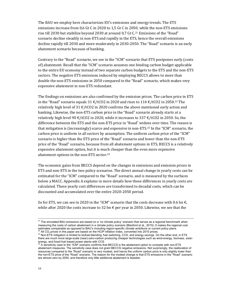The BAU we employ here characterizes EU's emissions and energy trends. The ETS emissions increase from  $0.6$  Gt C in 2020 to 1.5 Gt C in 2050, while the non-ETS emissions rise till 2030 but stabilize beyond 2030 at around 0,7 Gt C.<sup>21</sup> Emissions of the "Road" scenario decline steadily in non-ETS and rapidly in the ETS, hence the overall emissions decline rapidly till 2030 and more moderately in 2030-2050. The "Road" scenario is an early abatement scenario because of banking.

Contrary to the "Road" scenario, we see in the "ICM" scenario that ETS postpones early (costs of) abatement. Recall that the "ICM" scenario assumes one binding carbon budget applicable to the entire EU economy instead of two separate carbon budgets to the ETS and the non-ETS sectors. The negative ETS emissions induced by employing BECCS allows to more than double the non-ETS emissions in 2050 compared to the "Road" scenario, which makes very expensive abatement in non-ETS redundant.

The findings on emissions are also confirmed by the emission prices. The carbon price in ETS in the "Road" scenario equals  $31 \text{ €/tCO2}$  in 2020 and rises to  $114 \text{ €/tCO2}$  in 2050.<sup>22</sup> The relatively high level of 31  $\epsilon$ /tCO2 in 2020 confirms the above mentioned early action and banking. Likewise, the non-ETS carbon price in the "Road" scenario already starts at a relatively high level 90  $\epsilon$ /tCO2 in 2020, while it increases to 337  $\epsilon$ /tCO2 in 2050. So, the difference between the ETS and the non-ETS price in "Road" widens over time. The reason is that mitigation is (increasingly) scarce and expensive in non-ETS.<sup>23</sup> In the "ICM" scenario, the carbon price is uniform in all sectors by assumption. The uniform carbon price of the "ICM" scenario is higher than the ETS price of the "Road" scenario and lower than the non-ETS price of the "Road" scenario, because from all abatement options in ETS, BECCS is a relatively expensive abatement option, but it is much cheaper than the even more expensive abatement options in the non-ETS sector. $24$ 

The economic gains from BECCS depend on the changes in emissions and emission prices in ETS and non-ETS in the two policy scenarios. The direct annual change in yearly costs can be estimated for the "ICM" compared to the "Road" scenario, and is measured by the surfaces below a MACC. Appendix A explains in more details how these differences in yearly costs are calculated. These yearly cost differences are transformed to decadal costs, which can be discounted and accumulated over the entire 2020-2050 period.

So for ETS, we can see in 2020 in the "ICM" scenario that the costs decrease with 0.6 bn  $\epsilon$ , while after 2020 the costs increase to 32 bn  $\epsilon$  per year in 2050. Likewise, we see that the

 $21$  The simulated BAU emissions are based on a 'no climate policy' scenario that serves as a regional benchmark when measuring the costs of carbon abatement in a climate policy scenario (Blanford et al., 2015). It makes the regional cost estimates comparable as opposed to BAU's including region-specific climate ambitions or current policy plans.

<sup>&</sup>lt;sup>22</sup> All CO<sub>2</sub> prices in this paper are based on the HCIP inflation index, converted into 2015 prices.<br><sup>23</sup> Non-ETS mitigation is limited to biofuel-blending, fuel switching, CCS, and energy savings. On the other end, in there are much more large-scale (near)-zero-carbon producing cheaper technologies such as wind-energy, biomass, solar-

energy, and fossil-fuel based power plants with CCS.<br><sup>24</sup> A sensitivity case to the "ICM" scenario confirms that BECCS is the abatement option to compete with non-ETS abatement measures. The sensitivity case does not grant BECCS negative emissions. Not surprisingly, the reallocation of resources compared to the "Road" scenario is very modest, and hence the uniform carbon price is only slightly lower than the non-ETS price of the "Road" scenario. The reason for the modest change is that ETS emissions in the "Road" scenario are almost zero by 2050, and therefore only little additional abatement is feasible.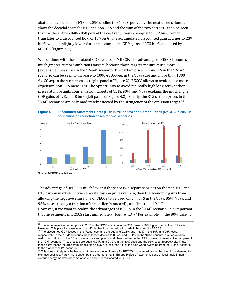abatement costs in non-ETS in 2050 decline to 84 bn  $\epsilon$  per year. The next three columns show the decadal costs for ETS and non-ETS and the sum of the two sectors. It can be seen that for the entire 2040-2050 period the cost reductions are equal to 332 bn  $\epsilon$ , which translates to a discounted flow of 134 bn  $\epsilon$ . The accumulated discounted gain accrues to 239 bn  $\epsilon$ , which is slightly lower than the accumulated GDP gains of 273 bn  $\epsilon$  simulated by MERGE (Figure 4.1).

We continue with the simulated GDP results of MERGE. The advantage of BECCS becomes much greater at more ambitious targets, because those targets require much more (expensive) measures in the "Road" scenario. The carbon price in non-ETS in the "Road" scenario can be seen to increase to 1000  $\epsilon$ /tCO<sub>2</sub>eq. in the 85% case and more than 1800  $\epsilon$ /tCO<sub>2</sub>eq. in the stricter cases (right-panel of Figure 2). BECCS allows to avoid these more expensive non-ETS measures. The opportunity to avoid the really high long-term carbon prices at more ambitious emission targets of 85%, 90%, and 95% explains the much higher GDP gains of 1, 3, and 8 bn  $\epsilon$  (left panel of Figure 4.2). Finally, the ETS carbon prices in the "ICM" scenarios are only moderately affected by the stringency of the emission target.<sup>25</sup>





The advantage of BECCS is much lower if there are two separate prices on the non-ETS and ETS carbon markets. If two separate carbon prices remain, then the economic gains from allowing the negative emissions of BECCS to be used only in ETS in the  $80\%$ ,  $85\%$ ,  $90\%$ , and 95% case are only a fraction of the earlier (standard) gain (less than  $1\%$ ).<sup>26</sup> However, if we want to realize the advantages of BECCS in the "ICM" scenario, it is important that investments in BECCS start immediately (Figure 4.3).<sup>27</sup> For example, in the 80% case, it

 $25$  The economy-wide carbon price in 2050 in the "ICM" scenario in the 95% case is 50% higher than in the 85% case. However, This price increase would be 14% higher in a scenario with trade in biomass for BECCS.

<sup>26</sup> The discounted GDP losses in the "Road" scenario are equal to 0.28% and 1,33% in the 80% and 95% case, respectively. In the "ICM" scenarios these losses decline to 0,24% and 0,31%. In the "ICM" variants in which we also restrict air pollution of the "Road" scenario as an upperbound, then the discounted GDP losses increase a little compared to the "ICM" scenario. These losses are equal 0,24% and 0,32% in the 80% case and the 95% case, respectively. Thus, these extra losses incurred from air pollution policy are less than 1% of the gain when switching from the "Road" scenario to the standard "ICM" scenario.

This does not rely on whether or not there is trade in biomass for BECCS. Later we will show that the global demand for biomass declines. Partly this is driven by the argument that in Europe biofuels (lower emissions of fossil fuels in nonelectric energy markets) become obsolete once it is reallocated to BECCS.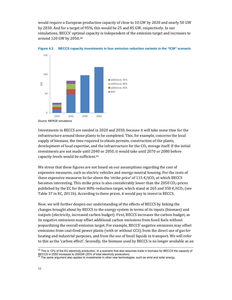would require a European production capacity of close to 10 GW by 2020 and nearly 50 GW by 2030. And for a target of 95%, this would be 25 and 85 GW, respectively. In our simulations, BECCS' optimal capacity is independent of the emission target and increases to around 120 GW by 2050.<sup>28</sup>



**Figure 4.3 BECCS capacity investments in four emission reduction variants in the "ICM" scenario** 

Investments in BECCS are needed in 2020 and 2030, because it will take some time for the infrastructure around those plants to be completed. This, for example, concerns the local supply of biomass, the time required to obtain permits, construction of the plants, development of local expertise, and the infrastructure for the  $CO<sub>2</sub>$  storage itself. If the initial investments are not made until 2040 or 2050, it would take until 2070 or 2080 before capacity levels would be sufficient.<sup>29</sup>

We stress that these figures are not based on our assumptions regarding the cost of expensive measures, such as electric vehicles and energy-neutral housing. For the costs of these expensive measures lie far above the 'strike price' of  $115 \text{ } \text{\textsterling}$ /tCO<sub>2</sub> at which BECCS becomes interesting. This strike price is also considerably lower than the 2050  $CO<sub>2</sub>$ -prices published by the EC for their 80%-reduction target, which stand at 265 and 350  $\epsilon$ /tCO<sub>2</sub> (see Table 37 in EC, 2011b). According to these prices, it would pay to invest in BECCS.

Now, we will further deepen our understanding of the effects of BECCS by linking the changes brought about by BECCS to the energy system in terms of its inputs (biomass) and outputs (electricity, increased carbon budget). First, BECCS increases the carbon budget, as its negative emissions may offset additional carbon emissions from fossil fuels without jeopardizing the overall emission target. For example, BECCS' negative emissions may offset emissions from coal-fired power plants (with or without CCS), from the direct use of gas for heating and industrial purposes, and from the use of fossil liquids in transport. We will refer to this as the 'carbon effect'. Secondly, the biomass used by BECCS is no longer available as an

<sup>&</sup>lt;sup>28</sup> This is 12% of the EU electricity production. In a scenario that also assumes trade in biomass for BECCS the capacity of BECCS in 2050 increases to 200GW (20% of total electricity production).<br><sup>29</sup> The same argument also applies to investments in other new technologies, such as wind and solar energy.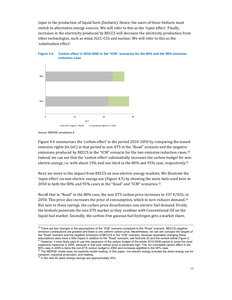input in the production of liquid fuels (biofuels). Hence, the users of these biofuels must switch to alternative energy sources. We will refer to this as the 'input effect'. Finally, increases in the electricity produced by BECCS will decrease the electricity production from other technologies, such as wind, IGCC-CCS and nuclear. We will refer to this as the 'substitution effect'.



**Figure 4.4 Carbon effect in 2010-2050 in the "ICM" scenarios for the 80% and the 95% emission reduction case** 

Source: MERGE simulations.9

Figure 4.4 summarizes the 'carbon effect' in the period 2010-2050 by comparing the issued emission rights (in GtC) in that period to non-ETS in the "Road" scenario and the negative emissions produced by BECCS in the "ICM" scenario for the two emission reduction cases.<sup>30</sup> Indeed, we can see that the 'carbon effect' substantially increases the carbon budget for nonelectric energy, i.e. with about  $15\%$  and one third in the 80% and 95% case, respectively.<sup>31</sup>

Next, we move to the impact from BECCS on non-electric energy markets. We illustrate the 'input effect' on non-electric energy use  $(Figure 4.5)$  by showing the main fuels used here in 2050 in both the  $80\%$  and  $95\%$  cases in the "Road" and "ICM" scenarios.<sup>32</sup>

Recall that in "Road" in the 80% case, the non-ETS carbon price increases to 337  $\epsilon$ /tCO<sub>2</sub> in 2050. This price also increases the price of consumption, which in turn reduces demand. $33$ But next to these savings, the carbon price decarbonizes non-electric fuel demand. Firstly, the biofuels penetrate the non-ETS market as they combine with Conventional Oil on the liquid fuel market. Secondly, the carbon-free gaseous fuel hydrogen gets a market share,

expensive measures in 2050, because in that year carbon price is extremely high. The not cumulated carbon effect in the 80% case in 2050 is twice the non-ETS carbon budget in 2050 and increases eightfold in the 95% case.

<sup>&</sup>lt;sup>30</sup> There are two changes in the assumptions of the "ICM" scenario compared to the "Road" scenario. BECCS negative emission contributions are granted and there is one uniform carbon price. Nevertheless, we can still compare the targets of the "Road" scenario and the negative emissions of BECCS in the "ICM" scenario, because separately changing these assumptions does have a little impact in addition to the "Road" scenario, see footnote 22 and the remark below Figure 2.<br><sup>31</sup> However, it most likely pays to use this expansion of the carbon budget of the whole 2010-2050 p

<sup>&</sup>lt;sup>32</sup> The MERGE model does not explicitly model heating. In this paper, non-electric energy includes the direct energy use for transport, industrial production, and heating.<br><sup>33</sup> in the next 40 years energy savings are approximately 35%.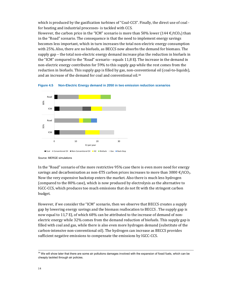which is produced by the gasification turbines of "Coal-CCS". Finally, the direct use of coal for heating and industrial processes- is tackled with CCS.

However, the carbon price in the "ICM" scenario is more than 50% lower (144  $\epsilon$ /tCO<sub>2</sub>) than in the "Road" scenario. The consequence is that the need to implement energy savings becomes less important, which in turn increases the total non-electric energy consumption with 25%. Also, there are no biofuels, as BECCS now absorbs the demand for biomass. The supply gap – the total non-electric energy demand increase plus the reduction in biofuels in the "ICM" compared to the "Road" scenario - equals  $11,8$  EJ. The increase in the demand in non-electric energy contributes for 59% to this supply gap while the rest comes from the reduction in biofuels. This supply gap is filled by gas, non-conventional oil (coal-to-liquids), and an increase of the demand for coal and conventional oil.<sup>34</sup>



**Figure 4.5 Non-Electric Energy demand in 2050 in two emission reduction scenarios** 

Source: MERGE simulations

In the "Road" scenario of the more restrictive 95% case there is even more need for energy savings and decarbonisation as non-ETS carbon prices increases to more than  $3000 \in \text{/tCO}_2$ . Now the very expensive backstop enters the market. Also there is much less hydrogen (compared to the 80% case), which is now produced by electrolysis as the alternative to IGCC-CCS, which produces too much emissions that do not fit with the stringent carbon budget. 

However, if we consider the "ICM" scenario, then we observe that BECCS creates a supply gap by lowering energy savings and the biomass reallocation to BECCS. The supply gap is now equal to 11,7 EJ, of which 68% can be attributed to the increase of demand of nonelectric energy while 32% comes from the demand reduction of biofuels. This supply gap is filled with coal and gas, while there is also even more hydrogen demand (substitute of the carbon-intensive non-conventional oil). The hydrogen can increase as BECCS provides sufficient negative emissions to compensate the emissions by IGCC-CCS.

<sup>&</sup>lt;sup>34</sup> We will show later that there are some air pollutions damages involved with the expansion of fossil fuels, which can be cheaply tackled through air policies.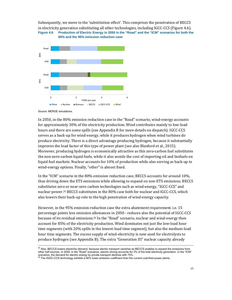### Subsequently, we move to the 'substitution effect'. This comprises the penetration of BECCS in electricity generation substituting all other technologies, including  $IGCC$ -CCS (Figure 4.6). **Figure 4.6 Production of Electric Energy in 2050 in the "Road" and the "ICM" scenarios for both the 80% and the 95% emission reduction case**



Source: MERGE simulations.

In 2050, in the 80% emission reduction case in the "Road" scenario, wind-energy accounts for approximately 30% of the electricity production. Wind contributes mainly to low-load hours and there are some spills (see Appendix B for more details on dispatch). IGCC-CCS serves as a back-up for wind-energy, while it produces hydrogen when wind turbines do produce electricity. There is a direct advantage producing hydrogen, because it substantially improves the load factor of this type of power plant (see also Blanford et al., 2015). Moreover, producing hydrogen is economically attractive as this zero-carbon fuel substitutes the non-zero-carbon liquid fuels, while it also avoids the cost of importing oil and biofuels on liquid fuel markets. Nuclear accounts for 10% of production while also serving as back-up to wind-energy options. Finally, "other" is almost fixed.

In the "ICM" scenario in the 80% emission reduction case, BECCS accounts for around 10%, thus driving down the ETS emissions while allowing to expand on non-ETS emissions. BECCS substitutes zero or near-zero carbon technologies such as wind-energy, "IGCC-CCS" and nuclear power.<sup>35</sup> BECCS substitutes in the 80% case both for nuclear and IGCC-CCS, which also lowers their back-up role to the high penetration of wind-energy capacity.

However, in the 95% emission reduction case the extra abatement requirement. i.e. 15 percentage points less emission allowances in 2050 - reduces also the potential of IGCC-CCS because of its residual emissions.<sup>36</sup> In the "Road" scenario, nuclear and wind-energy then account for 85% of the electricity production. Wind dominates not just the low-load hour time segments (with 20% spills in the lowest-load time segment), but also the medium-load hour time segments. The excess supply of wind-electricity is now used for electrolysis to produce hydrogen (see Appendix B). The extra "Generation III" nuclear capacity already

<sup>&</sup>lt;sup>35</sup> Also, BECCS lowers electricity demand, because electric transport vanishes as BECCS enables to expand the emissions from other half sources. In 2050, in the "Road" scenarios, electric driving accounts for 3% of the total electricity generation. In the "ICM" scenarios, the demand for electric energy by private transport declines with 75%.<br><sup>36</sup> The IGGC-CCS technology exhibits a 90% lower emission coefficient than the current coal-fired power plants.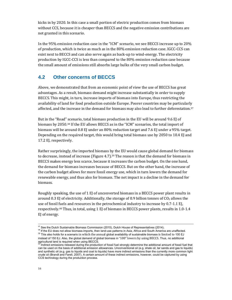kicks in by 2020. In this case a small portion of electric production comes from biomass without CCS, because it is cheaper than BECCS and the negative emission contributions are not granted in this scenario.

In the  $95\%$  emission reduction case in the "ICM" scenario, we see BECCS increase up to  $20\%$ of production, which is twice as much as in the 80% emission reduction case. IGCC-CCS can exist next to BECCS and can also serve again as back-up to wind-energy. The electricity production by IGCC-CCS is less than compared to the  $80\%$  emission reduction case because the small amount of emissions still absorbs large bulks of the very small carbon budget.

### **4.2 Other concerns of BECCS**

Above, we demonstrated that from an economic point of view the use of BECCS has great advantages. As a result, biomass demand might increase substantially in order to supply BECCS. This might, in turn, increase imports of biomass into Europe, thus restricting the availability of land for food production outside Europe. Poorer countries may be particularly affected, and the increase in the demand for biomass may also lead to further deforestation.<sup>37</sup>

But in the "Road" scenario, total biomass production in the EU will be around 9.6 EJ of biomass by 2050.<sup>38</sup> If the EU allows BECCS as in the "ICM" scenarios, the total import of biomass will be around 0.8 EJ under an 80% reduction target and 7.6 EJ under a 95% target. Depending on the required target, this would bring total biomass use by 2050 to 10.4 EJ and 17.2 EJ, respectively.

Rather surprisingly, the imported biomass by the EU would cause global demand for biomass to decrease, instead of increase (Figure 4.7).<sup>39</sup> The reason is that the demand for biomass in BECCS makes energy less scarce, because it increases the carbon budget. On the one hand, the demand for biomass increases because of BECCS. But on the other hand, the increase of the carbon budget allows for more fossil energy use, which in turn lowers the demand for renewable energy, and thus also for biomass. The net impact is a decline in the demand for biomass. 

Roughly speaking, the use of 1 EJ of unconverted biomass in a BECCS power plant results in around 0.3 EJ of electricity. Additionally, the storage of 0.9 billion tonnes of  $CO<sub>2</sub>$  allows the use of fossil fuels and resources in the petrochemical industry to increase by  $0.7-1.1$  EJ, respectively.<sup>40</sup> Thus, in total, using 1 EJ of biomass in BECCS power plants, results in 1.0-1.4 EJ of energy.

<sup>&</sup>lt;sup>37</sup> See the Dutch Sustainable Biomass Commission (2015), Dutch House of Representatives (2014).<br><sup>38</sup> If the EU does not allow biomass-imports, then land-use patterns in Asia, Africa and South America are unaffected.

 $39$  This also holds for a scenario in which the annual global availability of sustainable biomass is limited to 100 EJ instead of 150 EJ. Also, the global demand of global biomass in "100" lowers by using BECCS. Thus, no additional agricultural land is required when using BECCS.<br><sup>40</sup> Indirect emissions released during the production of fossil fuel strongly determine the additional amount of fossil fuel that

can be used on the basis of additional emission allowances. Unconventional oil (e.g. shale oil, tar sands and gas to liquids) and synthetic oil (e.g. gas to liquids and coal to liquids) have more indirect emissions than the currently more common light crude oil (Brandt and Farell, 2007). A certain amount of these indirect emissions, however, could be captured by using CCS technology during the production process.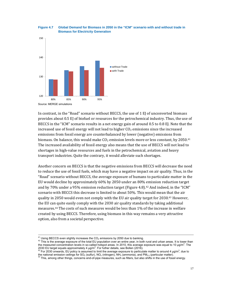

#### **Figure 4.7 Global Demand for Biomass in 2050 in the "ICM" scenario with and without trade in Biomass for Electricity Generation**

In contrast, in the "Road" scenario without BECCS, the use of  $1 \text{ EJ}$  of unconverted biomass provides about 0.5 EJ of biofuel or resources for the petrochemical industry. Thus, the use of BECCS in the "ICM" scenario results in a net energy gain of around 0.5 to 0.8 EJ. Note that the increased use of fossil energy will not lead to higher  $CO<sub>2</sub>$  emissions since the increased emissions from fossil energy are counterbalanced by lower (negative) emissions from biomass. On balance, this would make  $CO<sub>2</sub>$  emission levels more or less constant, by 2050.<sup>41</sup> The increased availability of fossil energy also means that the use of BECCS will not lead to shortages in high-value resources and fuels in the petrochemical, aviation and heavy transport industries. Quite the contrary, it would alleviate such shortages.

Another concern on BECCS is that the negative emissions from BECCS will decrease the need to reduce the use of fossil fuels, which may have a negative impact on air quality. Thus, in the "Road" scenario without BECCS, the average exposure of humans to particulate matter in the EU would decline by approximately 60% by 2050 under an 80% emission reduction target and by 70% under a 95% emission reduction target (Figure 4.8).<sup>42</sup> And indeed, in the "ICM" scenario with BECCS this decrease is limited to about 50%. This would mean that the air quality in 2050 would even not comply with the EU air quality target for 2030.43 However, the EU can quite easily comply with the 2030 air quality standards by taking additional measures.<sup>44</sup> The costs of such measures would be less than 1% of the increase in welfare created by using BECCS. Therefore, using biomass in this way remains a very attractive option, also from a societal perspective.

<sup>41</sup> Using BECCS even slightly increases the CO<sub>2</sub> emissions by 2050 due to banking.<br><sup>42</sup> This is the average exposure of the total EU population over an entire year, in both rural and urban areas. It is lower than the measured concentration levels in so-called hotspot areas. In 2010, this average exposure was equal to 10  $\mu$ g/m<sup>3</sup>. The 2030 EU target equals approximately 4  $\mu$ g/m<sup>3</sup>. For futher details, see Bollen (2016). 2030 EU target equals approximately 4 μg/m<sup>3</sup>. For futher details, see Bollen (2016).<br><sup>43</sup> For 2030 onwards, EU policy is assumed to limit the average exposure to particulate matter to around 4 μg/m<sup>3</sup>, due to

the national emission ceilings for SO<sub>2</sub> (sulfur), NO<sub>x</sub> (nitrogen), NH<sub>3</sub> (ammonia), and PM<sub>2.5</sub> (particular matter).<br><sup>44</sup> This, among other things, concerns end-of-pipe measures, such as filters, but also shifts in the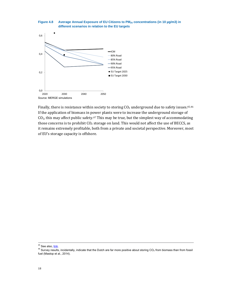



Finally, there is resistance within society to storing  $CO<sub>2</sub>$  underground due to safety issues.<sup>45,46</sup> If the application of biomass in power plants were to increase the underground storage of  $CO<sub>2</sub>$ , this may affect public safety.<sup>47</sup> This may be true, but the simplest way of accommodating those concerns is to prohibit  $CO<sub>2</sub>$  storage on land. This would not affect the use of BECCS, as it remains extremely profitable, both from a private and societal perspective. Moreover, most of EU's storage capacity is offshore.

<sup>&</sup>lt;sup>45</sup> See also, <u>link</u>.<br><sup>46</sup> Survey results, incidentally, indicate that the Dutch are far more positive about storing CO<sub>2</sub> from biomass than from fossil fuel (Mastop et al., 2014).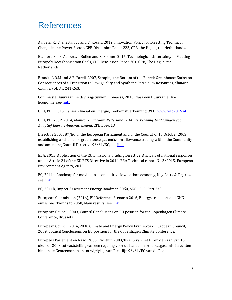### References

Aalbers, R., V. Shestalova and V. Kocsis, 2012, Innovation Policy for Directing Technical Change in the Power Sector, CPB Discussion Paper 223, CPB, the Hague, the Netherlands.

Blanford, G., R. Aalbers, J. Bollen and K. Folmer, 2015, Technological Uncertainty in Meeting Europe's Decarbonisation Goals, CPB Discussion Paper 301, CPB, The Hague, the Netherlands. 

Brandt, A.R.M and A.E. Farell, 2007, Scraping the Bottom of the Barrel: Greenhouse Emission Consequences of a Transition to Low-Quality and Synthetic Petroleum Resources, *Climatic Change*, vol. 84: 241‐263. 

Commissie Duurzaamheidsvraagstukken Biomassa, 2015, Naar een Duurzame Bio-Economie, see link.

CPB/PBL, 2015, Cahier Klimaat en Energie, Toekomstverkenning WLO, www.wlo2015.nl.

CPB/PBL/SCP, 2014, *Monitor Duurzaam Nederland 2014: Verkenning. Uitdagingen voor Adaptief Energie‐Innovatiebeleid*, CPB Boek 13. 

Directive 2003/87/EC of the European Parliament and of the Council of 13 October 2003 establishing a scheme for greenhouse gas emission allowance trading within the Community and amending Council Directive 96/61/EC, see link.

EEA, 2015, Application of the EU Emissions Trading Directive, Analysis of national responses under Article 21 of the EU ETS Directive in 2014, EEA Technical report No 3/2015, European Environment Agency, 2015.

EC, 2011a, Roadmap for moving to a competitive low-carbon economy, Key Facts & Figures, see [link.](\\int.ssc-campus.nl\cpb\data\p_biomassa-ccs\Rob\Definitieve versie\zie link) 

EC, 2011b, Impact Assessment Energy Roadmap 2050, SEC 1565, Part  $2/2$ .

European Commission (2016), EU Reference Scenario 2016, Energy, transport and GHG emissions, Trends to 2050, Main results, see link.

European Council, 2009, Council Conclusions on EU position for the Copenhagen Climate Conference, Brussels.

European Council, 2014, 2030 Climate and Energy Policy Framework; European Council, 2009, Council Conclusions on EU position for the Copenhagen Climate Conference.

Europees Parlement en Raad, 2003, Richtlijn 2003/87/EG van het EP en de Raad van 13 oktober 2003 tot vaststelling van een regeling voor de handel in broeikasgasemissierechten binnen de Gemeenschap en tot wijziging van Richtlijn 96/61/EG van de Raad.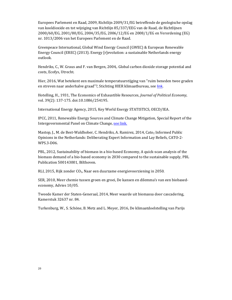Europees Parlement en Raad, 2009, Richtlijn 2009/31/EG betreffende de geologische opslag van kooldioxide en tot wijziging van Richtlijn 85/337/EEG van de Raad, de Richtlijnen 2000/60/EG, 2001/80/EG, 2004/35/EG, 2006/12/EG en 2008/1/EG en Verordening (EG) nr. 1013/2006 van het Europees Parlement en de Raad.

Greenpeace International, Global Wind Energy Council (GWEC) & European Renewable Energy Council (EREC) (2013). Energy [r]evolution: a sustainable Netherlands energy outlook. 

Hendriks, C., W. Graus and F. van Bergen, 2004,. Global carbon dioxide storage potential and costs, Ecofys, Utrecht.

Hier, 2016, Wat betekent een maximale temperatuurstijging van "ruim beneden twee graden en streven naar anderhalve graad"?, Stichting HIER klimaatbureau, see [link.](https://www.hier.nu/themas/voor-professionals/klimaatdoelstelling-van-parijs-wat-betekent-een-maximale)

Hotelling, H., 1931, The Economics of Exhaustible Resources, *Journal of Political Economy*, vol. 39(2): 137-175. doi:10.1086/254195.

International Energy Agency, 2015, Key World Energy STATISTICS, OECD/IEA.

IPCC, 2011, Renewable Energy Sources and Climate Change Mitigation, Special Report of the Intergovernmental Panel on Climate Change, see link.

Mastop, J., M. de Best-Waldhober, C. Hendriks, A. Ramirez, 2014, Cato<sub>2</sub> Informed Public Opinions in the Netherlands: Deliberating Expert Information and Lay Beliefs, CATO-2-WPS.3‐D06. 

PBL, 2012, Sustainability of biomass in a bio-based Economy, A quick-scan analysis of the biomass demand of a bio-based economy in 2030 compared to the sustainable supply, PBL Publication 500143001, Bilthoven.

RLI, 2015, Rijk zonder  $CO<sub>2</sub>$ , Naar een duurzame energievoorziening in 2050.

SER, 2010, Meer chemie tussen groen en groei, De kansen en dilemma's van een biobasedeconomy, Advies 10/05.

Tweede Kamer der Staten-Generaal, 2014, Meer waarde uit biomassa door cascadering, Kamerstuk 32637 nr. 84. 

Turkenburg, W., S. Schöne, B. Metz and L. Meyer, 2016, De klimaatdoelstelling van Parijs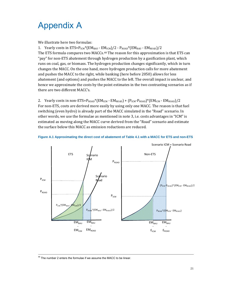# Appendix A

We illustrate here two formulas:

1. Yearly costs in  $ETS = P_{ICM} * (EM_{BAU} - EM_{ICM})/2 - P_{ROAD} * (EM_{BAU} - EM_{ROAD})/2$ The ETS formula compares two MACCs.<sup>48</sup> The reason for this approximation is that ETS can "pay" for non-ETS abatement through hydrogen production by a gasification plant, which runs on coal, gas, or biomass. The hydrogen production changes significantly, which in turn changes the MACC. On the one hand, more hydrogen production calls for more abatement and pushes the MACC to the right, while banking (here before 2050) allows for less abatement (and options) and pushes the MACC to the left. The overall impact is unclear, and hence we approximate the costs by the point estimates in the two contrasting scenarios as if there are two different MACC's.

2. Yearly costs in non-ETS= $P_{\text{ROAD}}$ \*(EM<sub>ICM</sub> - EM<sub>ROAD</sub>) + ( $P_{\text{ICM}}$ -P<sub>ROAD</sub>)\*(EM<sub>ICM</sub> - EM<sub>ROAD</sub>)/2 For non-ETS, costs are derived more easily by using only one MACC. The reason is that fuel switching (even hydro) is already part of the MACC simulated in the "Road" scenario. In other words, we use the formulae as mentioned in note 3, i.e. costs advantages in "ICM" is estimated as moving along the MACC curve derived from the "Road" scenario and estimate the surface below this MACC as emission reductions are reduced.





<sup>48</sup> The number 2 enters the formulae if we assume the MACC to be linear.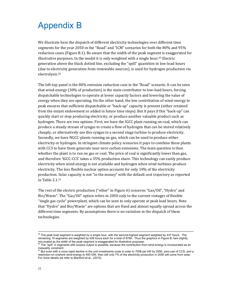## Appendix B

We illustrate here the dispatch of different electricity technologies over different time segments for the year 2050 in the "Road" and "ICM" scenarios for both the 80% and 95% reduction cases (Figure B.1). Be aware that the width of the peak segment is exaggerated for illustrative purposes. In the model it is only weighted with a single hour.<sup>49</sup> Electric generation above the black dotted line, excluding the "spill" quantities in low-load hours (due to electricity generation from renewable sources), is used for hydrogen production via electrolysis.50 

The left-top panel is the 80% emission reduction case in the "Road" scenario. It can be seen that wind-energy  $(30\%$  of production) is the main contributor to low-load hours, forcing dispatchable technologies to operate at lower capacity factors and lowering the value of energy when they are operating. On the other hand, the low contribution of wind-energy to peak ensures that sufficient dispatchable or "back-up" capacity is present (either retained from the extant endowment or added in future time steps). But it pays if this "back-up" can quickly start or stop producing electricity, or produce another valuable product such as hydrogen. There are two options. First, we have the IGCC plant running on coal, which can produce a steady stream of syngas to create a flow of hydrogen that can be stored relatively cheaply, or alternatively use this syngas in a second stage turbine to produce electricity. Secondly, we have NGCC-plants running on gas, which can be used to produce either electricity or hydrogen. In stringent climate policy scenarios it pays to combine these plants with CCS to have them generate near-zero carbon emissions. The main question is then whether the plant is to run on gas or coal. The price of coal is significantly lower than gas, and therefore 'IGCC-CCS' takes a 35% production share. This technology can easily produce electricity when wind-energy is not available and hydrogen when wind turbines produce electricity. The less flexible nuclear option accounts for only 10% of the electricity production. Solar capacity is not "in the money" with the default cost trajectory as reported in Table 2.1.<sup>51</sup>

The rest of the electric production ("other" in Figure 6) concerns "Gas/Oil", "Hydro" and Bio/Waste". The "Gas/Oil" option refers in 2050 only to the current vintages of flexible "single gas cycle" powerplant, which can be seen to only operate at peak load hours. Note that "Hydro" and Bio/Waste" are options that are fixed and almost equally spread across the different time segments. By assumptions there is no variation in the dispatch of these technologies. 

 $49$  The peak load segment is weighted by a single hour, with the second-highest segment weighted by 437 hours. The remaining 19 segments are weighted by 438 hours each for a total of 8760. Thus the graphics in Figure B.1are slightly mis-scaled as the width of the peak segment is exaggerated for illustrative purposes.

 $50$  The "spill" in segments with surplus output is possible, because the contribution from wind-energy is incorporated as an inequality constraint.

<sup>&</sup>lt;sup>51</sup> But even with a more rapid decline in the unit investments costs in solar to 700\$ per kW by 2050, zero-use of CCS, and a restriction on onshore wind-energy to 400 GW, then still only 7% of the electricity production in 2050 will come from solar. For more details we refer to Blanford et al., (2015).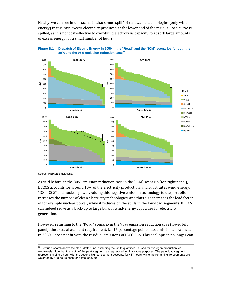Finally, we can see in this scenario also some "spill" of renewable technologies (only windenergy) In this case excess electricity produced at the lower end of the residual load curve is spilled, as it is not cost-effective to over-build electrolysis capacity to absorb large amounts of excess energy for a small number of hours.





Source: MERGE simulations.

As said before, in the  $80\%$  emission reduction case in the "ICM" scenario (top right panel), BECCS accounts for around 10% of the electricity production, and substitutes wind-energy, "IGCC-CCS" and nuclear power. Adding this negative emission technology to the portfolio increases the number of clean electricity technologies, and thus also increases the load factor of for example nuclear power, while it reduces on the spills in the low-load segments. BECCS can indeed serve as a back-up to large bulk of wind-energy capacities for electricity generation. 

However, returning to the "Road" scenario in the 95% emission reduction case (lower left panel), the extra abatement requirement. i.e. 15 percentage points less emission allowances in  $2050$  – does not fit with the residual emissions of IGCC-CCS. This coal-option no longer can

 $52$  Electric dispatch above the black dotted line, excluding the "spill" quantities, is used for hydrogen production via electrolysis. Note that the width of the peak segment is exaggerated for illustrative purposes. The peak load segment represents a single hour, with the second-highest segment accounts for 437 hours, while the remaining 19 segments are weighted by 438 hours each for a total of 8760.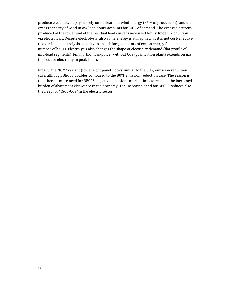produce electricity. It pays to rely on nuclear and wind-energy (85% of production), and the excess capacity of wind in ow-load hours accounts for 30% of demand. The excess electricity produced at the lower end of the residual load curve is now used for hydrogen production via electrolysis. Despite electrolysis, also some energy is still spilled, as it is not cost-effective to over-build electrolysis capacity to absorb large amounts of excess energy for a small number of hours. Electrolysis also changes the shape of electricity demand (flat profile of mid-load segments). Finally, biomass-power without CCS (gasification plant) extends on gas to produce electricity in peak-hours.

Finally, the "ICM" variant (lower right panel) looks similar to the 80% emission reduction case, although BECCS doubles compared to the 80% emission reduction case. The reason is that there is more need for BECCS' negative emission contributions to relax on the increased burden of abatement elsewhere in the economy. The increased need for BECCS reduces also the need for "IGCC-CCS" in the electric sector.